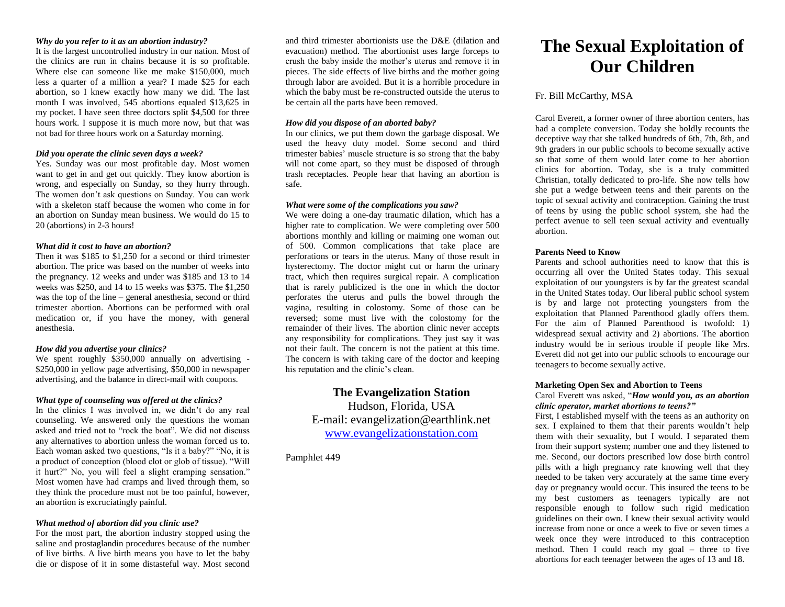#### *Why do you refer to it as an abortion industry?*

It is the largest uncontrolled industry in our nation. Most of the clinics are run in chains because it is so profitable. Where else can someone like me make \$150,000, much less a quarter of a million a year? I made \$25 for each abortion, so I knew exactly how many we did. The last month I was involved, 545 abortions equaled \$13,625 in my pocket. I have seen three doctors split \$4,500 for three hours work. I suppose it is much more now, but that was not bad for three hours work on a Saturday morning.

# *Did you operate the clinic seven days a week?*

Yes. Sunday was our most profitable day. Most women want to get in and get out quickly. They know abortion is wrong, and especially on Sunday, so they hurry through. The women don't ask questions on Sunday. You can work with a skeleton staff because the women who come in for an abortion on Sunday mean business. We would do 15 to 20 (abortions) in 2-3 hours!

#### *What did it cost to have an abortion?*

Then it was \$185 to \$1,250 for a second or third trimester abortion. The price was based on the number of weeks into the pregnancy. 12 weeks and under was \$185 and 13 to 14 weeks was \$250, and 14 to 15 weeks was \$375. The \$1,250 was the top of the line – general anesthesia, second or third trimester abortion. Abortions can be performed with oral medication or, if you have the money, with general anesthesia.

## *How did you advertise your clinics?*

We spent roughly \$350,000 annually on advertising -\$250,000 in yellow page advertising, \$50,000 in newspaper advertising, and the balance in direct-mail with coupons.

# *What type of counseling was offered at the clinics?*

In the clinics I was involved in, we didn't do any real counseling. We answered only the questions the woman asked and tried not to "rock the boat". We did not discuss any alternatives to abortion unless the woman forced us to. Each woman asked two questions, "Is it a baby?" "No, it is a product of conception (blood clot or glob of tissue). "Will it hurt?" No, you will feel a slight cramping sensation." Most women have had cramps and lived through them, so they think the procedure must not be too painful, however, an abortion is excruciatingly painful.

# *What method of abortion did you clinic use?*

For the most part, the abortion industry stopped using the saline and prostaglandin procedures because of the number of live births. A live birth means you have to let the baby die or dispose of it in some distasteful way. Most second and third trimester abortionists use the D&E (dilation and evacuation) method. The abortionist uses large forceps to crush the baby inside the mother's uterus and remove it in pieces. The side effects of live births and the mother going through labor are avoided. But it is a horrible procedure in which the baby must be re-constructed outside the uterus to be certain all the parts have been removed.

#### *How did you dispose of an aborted baby?*

In our clinics, we put them down the garbage disposal. We used the heavy duty model. Some second and third trimester babies' muscle structure is so strong that the baby will not come apart, so they must be disposed of through trash receptacles. People hear that having an abortion is safe.

# *What were some of the complications you saw?*

We were doing a one-day traumatic dilation, which has a higher rate to complication. We were completing over 500 abortions monthly and killing or maiming one woman out of 500. Common complications that take place are perforations or tears in the uterus. Many of those result in hysterectomy. The doctor might cut or harm the urinary tract, which then requires surgical repair. A complication that is rarely publicized is the one in which the doctor perforates the uterus and pulls the bowel through the vagina, resulting in colostomy. Some of those can be reversed; some must live with the colostomy for the remainder of their lives. The abortion clinic never accepts any responsibility for complications. They just say it was not their fault. The concern is not the patient at this time. The concern is with taking care of the doctor and keeping his reputation and the clinic's clean.

> **The Evangelization Station**  Hudson, Florida, USA E-mail: evangelization@earthlink.net [www.evangelizationstation.com](http://www.pjpiisoe.org/)

Pamphlet 449

# **The Sexual Exploitation of Our Children**

# Fr. Bill McCarthy, MSA

Carol Everett, a former owner of three abortion centers, has had a complete conversion. Today she boldly recounts the deceptive way that she talked hundreds of 6th, 7th, 8th, and 9th graders in our public schools to become sexually active so that some of them would later come to her abortion clinics for abortion. Today, she is a truly committed Christian, totally dedicated to pro-life. She now tells how she put a wedge between teens and their parents on the topic of sexual activity and contraception. Gaining the trust of teens by using the public school system, she had the perfect avenue to sell teen sexual activity and eventually abortion.

#### **Parents Need to Know**

Parents and school authorities need to know that this is occurring all over the United States today. This sexual exploitation of our youngsters is by far the greatest scandal in the United States today. Our liberal public school system is by and large not protecting youngsters from the exploitation that Planned Parenthood gladly offers them. For the aim of Planned Parenthood is twofold: 1) widespread sexual activity and 2) abortions. The abortion industry would be in serious trouble if people like Mrs. Everett did not get into our public schools to encourage our teenagers to become sexually active.

# **Marketing Open Sex and Abortion to Teens**

#### Carol Everett was asked, "*How would you, as an abortion clinic operator, market abortions to teens?"*

First, I established myself with the teens as an authority on sex. I explained to them that their parents wouldn't help them with their sexuality, but I would. I separated them from their support system; number one and they listened to me. Second, our doctors prescribed low dose birth control pills with a high pregnancy rate knowing well that they needed to be taken very accurately at the same time every day or pregnancy would occur. This insured the teens to be my best customers as teenagers typically are not responsible enough to follow such rigid medication guidelines on their own. I knew their sexual activity would increase from none or once a week to five or seven times a week once they were introduced to this contraception method. Then I could reach my goal – three to five abortions for each teenager between the ages of 13 and 18.